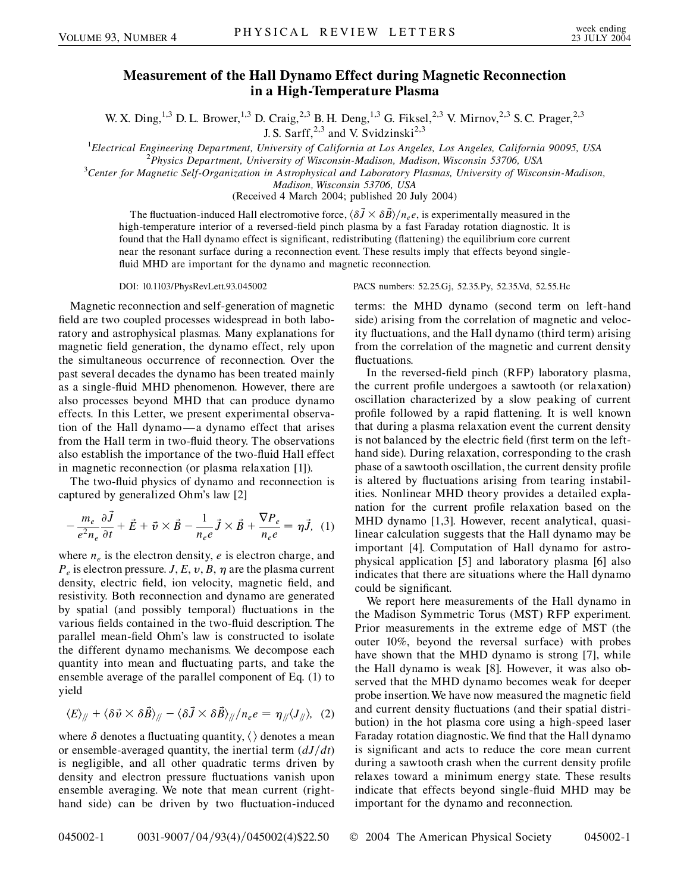## **Measurement of the Hall Dynamo Effect during Magnetic Reconnection in a High-Temperature Plasma**

W. X. Ding,<sup>1,3</sup> D. L. Brower,<sup>1,3</sup> D. Craig,<sup>2,3</sup> B. H. Deng,<sup>1,3</sup> G. Fiksel,<sup>2,3</sup> V. Mirnov,<sup>2,3</sup> S. C. Prager,<sup>2,3</sup> J. S. Sarff,  $2,3$  and V. Svidzinski<sup>2,3</sup>

<sup>1</sup> *Electrical Engineering Department, University of California at Los Angeles, Los Angeles, California 90095, USA*<br><sup>2</sup> *Physics Department University of Wisconsin Medison Medison Wisconsin 53706, USA* 

*Physics Department, University of Wisconsin-Madison, Madison, Wisconsin 53706, USA* <sup>3</sup>

*Center for Magnetic Self-Organization in Astrophysical and Laboratory Plasmas, University of Wisconsin-Madison,*

*Madison, Wisconsin 53706, USA*

(Received 4 March 2004; published 20 July 2004)

The fluctuation-induced Hall electromotive force,  $\langle \delta \vec{J} \times \delta \vec{B} \rangle / n_e e$ , is experimentally measured in the high-temperature interior of a reversed-field pinch plasma by a fast Faraday rotation diagnostic. It is found that the Hall dynamo effect is significant, redistributing (flattening) the equilibrium core current near the resonant surface during a reconnection event. These results imply that effects beyond singlefluid MHD are important for the dynamo and magnetic reconnection.

Magnetic reconnection and self-generation of magnetic field are two coupled processes widespread in both laboratory and astrophysical plasmas. Many explanations for magnetic field generation, the dynamo effect, rely upon the simultaneous occurrence of reconnection. Over the past several decades the dynamo has been treated mainly as a single-fluid MHD phenomenon. However, there are also processes beyond MHD that can produce dynamo effects. In this Letter, we present experimental observation of the Hall dynamo —a dynamo effect that arises from the Hall term in two-fluid theory. The observations also establish the importance of the two-fluid Hall effect in magnetic reconnection (or plasma relaxation [1]).

The two-fluid physics of dynamo and reconnection is captured by generalized Ohm's law [2]

$$
-\frac{m_e}{e^2 n_e} \frac{\partial \vec{J}}{\partial t} + \vec{E} + \vec{v} \times \vec{B} - \frac{1}{n_e e} \vec{J} \times \vec{B} + \frac{\nabla P_e}{n_e e} = \eta \vec{J}, \tag{1}
$$

where  $n_e$  is the electron density,  $e$  is electron charge, and  $P_e$  is electron pressure. *J*, *E*, *v*, *B*,  $\eta$  are the plasma current density, electric field, ion velocity, magnetic field, and resistivity. Both reconnection and dynamo are generated by spatial (and possibly temporal) fluctuations in the various fields contained in the two-fluid description. The parallel mean-field Ohm's law is constructed to isolate the different dynamo mechanisms. We decompose each quantity into mean and fluctuating parts, and take the ensemble average of the parallel component of Eq. (1) to yield

$$
\langle E \rangle_{/\!/} + \langle \delta \vec{v} \times \delta \vec{B} \rangle_{/\!/} - \langle \delta \vec{J} \times \delta \vec{B} \rangle_{/\!/}/n_e e = \eta_{/\!/} \langle J_{/\!/} \rangle, \tag{2}
$$

where  $\delta$  denotes a fluctuating quantity,  $\langle \rangle$  denotes a mean or ensemble-averaged quantity, the inertial term  $\left(\frac{dJ}{dt}\right)$ is negligible, and all other quadratic terms driven by density and electron pressure fluctuations vanish upon ensemble averaging. We note that mean current (righthand side) can be driven by two fluctuation-induced

DOI: 10.1103/PhysRevLett.93.045002 PACS numbers: 52.25.Gj, 52.35.Py, 52.35.Vd, 52.55.Hc

terms: the MHD dynamo (second term on left-hand side) arising from the correlation of magnetic and velocity fluctuations, and the Hall dynamo (third term) arising from the correlation of the magnetic and current density fluctuations.

In the reversed-field pinch (RFP) laboratory plasma, the current profile undergoes a sawtooth (or relaxation) oscillation characterized by a slow peaking of current profile followed by a rapid flattening. It is well known that during a plasma relaxation event the current density is not balanced by the electric field (first term on the lefthand side). During relaxation, corresponding to the crash phase of a sawtooth oscillation, the current density profile is altered by fluctuations arising from tearing instabilities. Nonlinear MHD theory provides a detailed explanation for the current profile relaxation based on the MHD dynamo [1,3]. However, recent analytical, quasilinear calculation suggests that the Hall dynamo may be important [4]. Computation of Hall dynamo for astrophysical application [5] and laboratory plasma [6] also indicates that there are situations where the Hall dynamo could be significant.

We report here measurements of the Hall dynamo in the Madison Symmetric Torus (MST) RFP experiment. Prior measurements in the extreme edge of MST (the outer 10%, beyond the reversal surface) with probes have shown that the MHD dynamo is strong [7], while the Hall dynamo is weak [8]. However, it was also observed that the MHD dynamo becomes weak for deeper probe insertion. We have now measured the magnetic field and current density fluctuations (and their spatial distribution) in the hot plasma core using a high-speed laser Faraday rotation diagnostic. We find that the Hall dynamo is significant and acts to reduce the core mean current during a sawtooth crash when the current density profile relaxes toward a minimum energy state. These results indicate that effects beyond single-fluid MHD may be important for the dynamo and reconnection.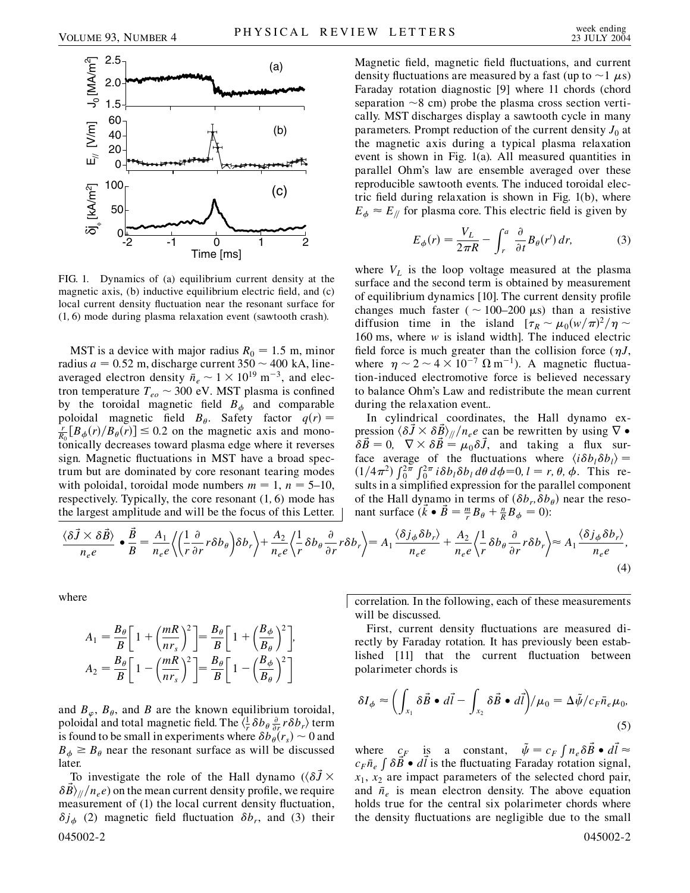

FIG. 1. Dynamics of (a) equilibrium current density at the magnetic axis, (b) inductive equilibrium electric field, and (c) local current density fluctuation near the resonant surface for (1*;* 6) mode during plasma relaxation event (sawtooth crash).

MST is a device with major radius  $R_0 = 1.5$  m, minor radius  $a = 0.52$  m, discharge current  $350 \sim 400$  kA, lineaveraged electron density  $\bar{n}_e \sim 1 \times 10^{19} \text{ m}^{-3}$ , and electron temperature  $T_{eo} \sim 300$  eV. MST plasma is confined by the toroidal magnetic field  $B_{\phi}$  and comparable poloidal magnetic field  $B_{\theta}$ . Safety factor  $q(r)$  =  $\frac{r}{R_0}[B_\phi(r)/B_\theta(r)] \leq 0.2$  on the magnetic axis and monotonically decreases toward plasma edge where it reverses sign. Magnetic fluctuations in MST have a broad spectrum but are dominated by core resonant tearing modes with poloidal, toroidal mode numbers  $m = 1$ ,  $n = 5{\text -}10$ , respectively. Typically, the core resonant (1*;* 6) mode has the largest amplitude and will be the focus of this Letter. Magnetic field, magnetic field fluctuations, and current density fluctuations are measured by a fast (up to  $\sim$  1  $\mu$ s) Faraday rotation diagnostic [9] where 11 chords (chord separation  $\sim$ 8 cm) probe the plasma cross section vertically. MST discharges display a sawtooth cycle in many parameters. Prompt reduction of the current density  $J_0$  at the magnetic axis during a typical plasma relaxation event is shown in Fig. 1(a). All measured quantities in parallel Ohm's law are ensemble averaged over these reproducible sawtooth events. The induced toroidal electric field during relaxation is shown in Fig. 1(b), where  $E_{\phi} \approx E_{\parallel}$  for plasma core. This electric field is given by

$$
E_{\phi}(r) = \frac{V_L}{2\pi R} - \int_r^a \frac{\partial}{\partial t} B_{\theta}(r') dr, \tag{3}
$$

where  $V<sub>L</sub>$  is the loop voltage measured at the plasma surface and the second term is obtained by measurement of equilibrium dynamics [10]. The current density profile changes much faster ( $\sim$  100–200  $\mu$ s) than a resistive diffusion time in the island  $[\tau_R \sim \mu_0 (w/\pi)^2 / \eta \sim$ 160 ms, where *w* is island width]. The induced electric field force is much greater than the collision force  $(\eta J, \eta)$ where  $\eta \sim 2 \sim 4 \times 10^{-7} \Omega \text{ m}^{-1}$ ). A magnetic fluctuation-induced electromotive force is believed necessary to balance Ohm's Law and redistribute the mean current during the relaxation event..

In cylindrical coordinates, the Hall dynamo expression  $\langle \delta \vec{J} \times \delta \vec{B} \rangle_{//}/n_e e$  can be rewritten by using  $\nabla \bullet$  $\delta \vec{B} = 0$ ,  $\nabla \times \delta \vec{B} = \mu_0 \delta \vec{J}$ , and taking a flux surface average of the fluctuations where  $\langle i\delta b_l \delta b_l \rangle =$ (1/4 $\pi^2$ )  $\int_0^{2\pi} \int_0^{2\pi} i \delta b_l \delta b_l d\theta d\phi = 0, l = r, \theta, \phi$ . This results in a simplified expression for the parallel component of the Hall dynamo in terms of  $(\delta b_r, \delta b_\theta)$  near the resonant surface  $(\vec{k} \cdot \vec{B}) = \frac{m}{r} B_{\theta} + \frac{n}{R} B_{\phi} = 0$ :

$$
\frac{\langle \delta \vec{J} \times \delta \vec{B} \rangle}{n_e e} \bullet \frac{\vec{B}}{B} = \frac{A_1}{n_e e} \left\langle \left( \frac{1}{r} \frac{\partial}{\partial r} r \delta b_\theta \right) \delta b_r \right\rangle + \frac{A_2}{n_e e} \left\langle \frac{1}{r} \delta b_\theta \frac{\partial}{\partial r} r \delta b_r \right\rangle = A_1 \frac{\langle \delta j_\phi \delta b_r \rangle}{n_e e} + \frac{A_2}{n_e e} \left\langle \frac{1}{r} \delta b_\theta \frac{\partial}{\partial r} r \delta b_r \right\rangle \approx A_1 \frac{\langle \delta j_\phi \delta b_r \rangle}{n_e e},\tag{4}
$$

where

$$
A_1 = \frac{B_\theta}{B} \left[ 1 + \left( \frac{mR}{nr_s} \right)^2 \right] = \frac{B_\theta}{B} \left[ 1 + \left( \frac{B_\phi}{B_\theta} \right)^2 \right],
$$
  

$$
A_2 = \frac{B_\theta}{B} \left[ 1 - \left( \frac{mR}{nr_s} \right)^2 \right] = \frac{B_\theta}{B} \left[ 1 - \left( \frac{B_\phi}{B_\theta} \right)^2 \right]
$$

and  $B_{\varphi}$ ,  $B_{\theta}$ , and *B* are the known equilibrium toroidal, poloidal and total magnetic field. The  $\langle \frac{1}{r} \delta b_\theta \frac{\partial}{\partial r} r \delta b_r \rangle$  term is found to be small in experiments where  $\delta b_{\theta}(r_s) \sim 0$  and  $B_{\phi} \geq B_{\theta}$  near the resonant surface as will be discussed later.

To investigate the role of the Hall dynamo  $(\langle \delta \vec{J} \times$  $\delta B\rangle_{\parallel}/n_e e$  on the mean current density profile, we require measurement of (1) the local current density fluctuation,  $\delta j_{\phi}$  (2) magnetic field fluctuation  $\delta b_r$ , and (3) their 045002-2 045002-2

correlation. In the following, each of these measurements will be discussed.

First, current density fluctuations are measured directly by Faraday rotation. It has previously been established [11] that the current fluctuation between polarimeter chords is

$$
\delta I_{\phi} \approx \left( \int_{x_1} \delta \vec{B} \bullet d\vec{l} - \int_{x_2} \delta \vec{B} \bullet d\vec{l} \right) / \mu_0 = \Delta \tilde{\psi} / c_F \bar{n}_e \mu_0,
$$
\n(5)

where  $c_F$  is a constant,  $\tilde{\psi} = c_F \int n_e \delta \vec{B} \cdot d\vec{l} \approx$  $c_F \bar{n}_e \int \delta \vec{B} \cdot d\vec{l}$  is the fluctuating Faraday rotation signal,  $x_1$ ,  $x_2$  are impact parameters of the selected chord pair, and  $\bar{n}_e$  is mean electron density. The above equation holds true for the central six polarimeter chords where the density fluctuations are negligible due to the small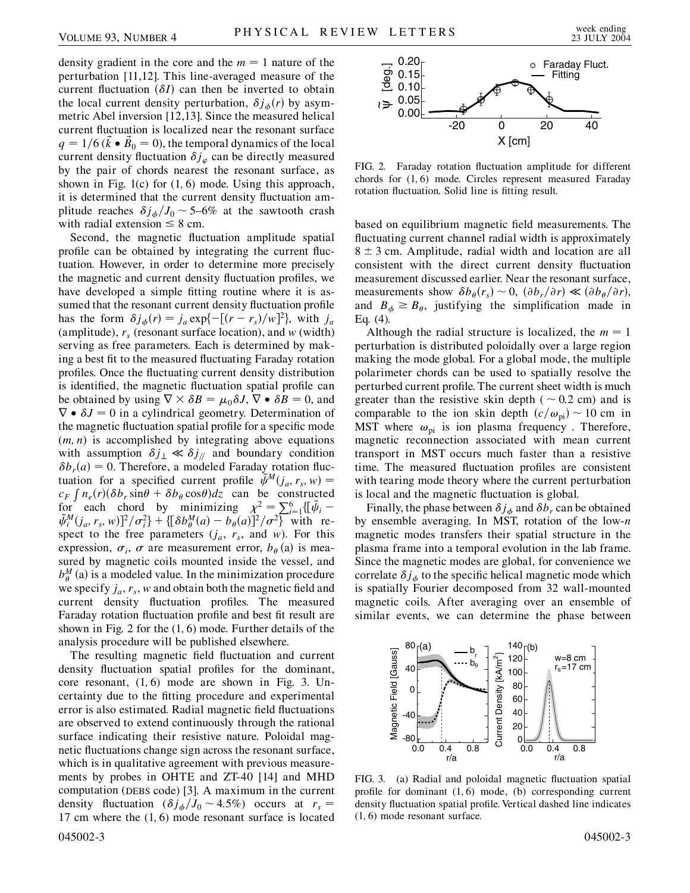density gradient in the core and the  $m = 1$  nature of the perturbation [11,12]. This line-averaged measure of the current fluctuation  $(\delta I)$  can then be inverted to obtain the local current density perturbation,  $\delta j_{\phi}(r)$  by asymmetric Abel inversion [12,13]. Since the measured helical current fluctuation is localized near the resonant surface  $q = 1/6$  ( $\vec{k} \cdot \vec{B_0} = 0$ ), the temporal dynamics of the local current density fluctuation  $\delta j_{\varphi}$  can be directly measured by the pair of chords nearest the resonant surface, as shown in Fig. 1(c) for (1*;* 6) mode. Using this approach, it is determined that the current density fluctuation amplitude reaches  $\delta j_{\phi}/J_0 \sim 5-6\%$  at the sawtooth crash with radial extension  $\leq 8$  cm.

Second, the magnetic fluctuation amplitude spatial profile can be obtained by integrating the current fluctuation. However, in order to determine more precisely the magnetic and current density fluctuation profiles, we have developed a simple fitting routine where it is assumed that the resonant current density fluctuation profile has the form  $\delta j_{\phi}(r) = j_a \exp\{-[(r - r_s)/w]^2\}$ , with  $j_a$ (amplitude),  $r_s$  (resonant surface location), and *w* (width) serving as free parameters. Each is determined by making a best fit to the measured fluctuating Faraday rotation profiles. Once the fluctuating current density distribution is identified, the magnetic fluctuation spatial profile can be obtained by using  $\nabla \times \delta B = \mu_0 \delta J$ ,  $\nabla \cdot \delta B = 0$ , and  $\nabla \bullet \delta J = 0$  in a cylindrical geometry. Determination of the magnetic fluctuation spatial profile for a specific mode (*m; n*) is accomplished by integrating above equations with assumption  $\delta j_{\perp} \ll \delta j_{\parallel}$  and boundary condition  $\delta b_r(a) = 0$ . Therefore, a modeled Faraday rotation fluctuation for a specified current profile  $\tilde{\psi}^M(j_a, r_s, w)$  = **c**<sub>F</sub>  $\int n_e(r)(\delta b_r \sin\theta + \delta b_\theta \cos\theta) dz$  can be constructed for each chord by minimizing  $\chi^2 = \sum_{i=1}^6 \{ [\tilde{\psi}_i \tilde{\psi}_i^M(j_a, r_s, w)]^2/\sigma_i^2$  + { $\{\delta b_{\theta}^M(a) - b_{\theta}(a)\}^2/\sigma^2$ } with respect to the free parameters  $(j_a, r_s,$  and *w*). For this expression,  $\sigma_i$ ,  $\sigma$  are measurement error,  $b_{\theta}$  (a) is measured by magnetic coils mounted inside the vessel, and  $b_{\theta}^{M}$  (a) is a modeled value. In the minimization procedure we specify  $j_a$ ,  $r_s$ ,  $w$  and obtain both the magnetic field and current density fluctuation profiles. The measured Faraday rotation fluctuation profile and best fit result are shown in Fig. 2 for the (1*;* 6) mode. Further details of the analysis procedure will be published elsewhere.

The resulting magnetic field fluctuation and current density fluctuation spatial profiles for the dominant, core resonant, (1*;* 6) mode are shown in Fig. 3. Uncertainty due to the fitting procedure and experimental error is also estimated. Radial magnetic field fluctuations are observed to extend continuously through the rational surface indicating their resistive nature. Poloidal magnetic fluctuations change sign across the resonant surface, which is in qualitative agreement with previous measurements by probes in OHTE and ZT-40 [14] and MHD computation (DEBS code) [3]. A maximum in the current density fluctuation  $(\delta j_{\phi}/J_0 \sim 4.5\%)$  occurs at  $r_s =$ 17 cm where the (1*;* 6) mode resonant surface is located 045002-3 045002-3



FIG. 2. Faraday rotation fluctuation amplitude for different chords for (1*;* 6) mode. Circles represent measured Faraday rotation fluctuation. Solid line is fitting result.

based on equilibrium magnetic field measurements. The fluctuating current channel radial width is approximately  $8 \pm 3$  cm. Amplitude, radial width and location are all consistent with the direct current density fluctuation measurement discussed earlier. Near the resonant surface, measurements show  $\delta b_{\theta}(r_s) \sim 0$ ,  $(\partial b_r/\partial r) \ll (\partial b_{\theta}/\partial r)$ , and  $B_{\phi} \geq B_{\theta}$ , justifying the simplification made in Eq. (4).

Although the radial structure is localized, the  $m = 1$ perturbation is distributed poloidally over a large region making the mode global. For a global mode, the multiple polarimeter chords can be used to spatially resolve the perturbed current profile. The current sheet width is much greater than the resistive skin depth ( $\sim 0.2$  cm) and is comparable to the ion skin depth  $(c/\omega_{pi}) \sim 10$  cm in MST where  $\omega_{pi}$  is ion plasma frequency. Therefore, magnetic reconnection associated with mean current transport in MST occurs much faster than a resistive time. The measured fluctuation profiles are consistent with tearing mode theory where the current perturbation is local and the magnetic fluctuation is global.

Finally, the phase between  $\delta j_{\phi}$  and  $\delta b_r$  can be obtained by ensemble averaging. In MST, rotation of the low-*n* magnetic modes transfers their spatial structure in the plasma frame into a temporal evolution in the lab frame. Since the magnetic modes are global, for convenience we correlate  $\delta j_{\phi}$  to the specific helical magnetic mode which is spatially Fourier decomposed from 32 wall-mounted magnetic coils. After averaging over an ensemble of similar events, we can determine the phase between



FIG. 3. (a) Radial and poloidal magnetic fluctuation spatial profile for dominant (1*;* 6) mode, (b) corresponding current density fluctuation spatial profile. Vertical dashed line indicates (1*;* 6) mode resonant surface.